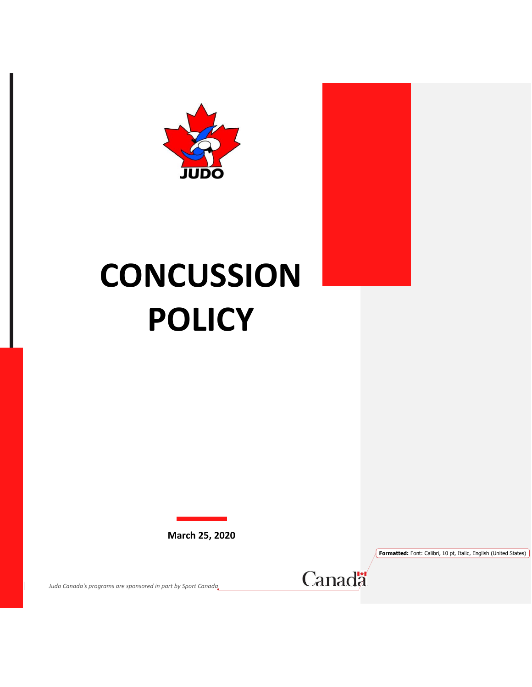



**Formatted:** Font: Calibri, 10 pt, Italic, English (United States)

*Judo Canada's programs are sponsored in part by Sport Canada*

Canadä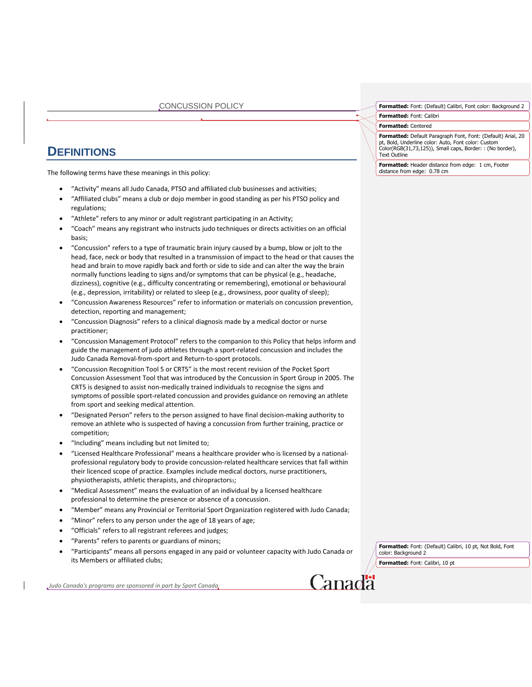## **DEFINITIONS**

The following terms have these meanings in this policy:

- "Activity" means all Judo Canada, PTSO and affiliated club businesses and activities;
- "Affiliated clubs" means a club or dojo member in good standing as per his PTSO policy and regulations;
- "Athlete" refers to any minor or adult registrant participating in an Activity;
- "Coach" means any registrant who instructs judo techniques or directs activities on an official basis;
- "Concussion" refers to a type of traumatic brain injury caused by a bump, blow or jolt to the head, face, neck or body that resulted in a transmission of impact to the head or that causes the head and brain to move rapidly back and forth or side to side and can alter the way the brain normally functions leading to signs and/or symptoms that can be physical (e.g., headache, dizziness), cognitive (e.g., difficulty concentrating or remembering), emotional or behavioural (e.g., depression, irritability) or related to sleep (e.g., drowsiness, poor quality of sleep);
- "Concussion Awareness Resources" refer to information or materials on concussion prevention, detection, reporting and management;
- "Concussion Diagnosis" refers to a clinical diagnosis made by a medical doctor or nurse practitioner;
- "Concussion Management Protocol" refers to the companion to this Policy that helps inform and guide the management of judo athletes through a sport-related concussion and includes the Judo Canada Removal-from-sport and Return-to-sport protocols.
- "Concussion Recognition Tool 5 or CRT5" is the most recent revision of the Pocket Sport Concussion Assessment Tool that was introduced by the Concussion in Sport Group in 2005. The CRT5 is designed to assist non-medically trained individuals to recognise the signs and symptoms of possible sport-related concussion and provides guidance on removing an athlete from sport and seeking medical attention.
- "Designated Person" refers to the person assigned to have final decision-making authority to remove an athlete who is suspected of having a concussion from further training, practice or competition;
- "Including" means including but not limited to;
- "Licensed Healthcare Professional" means a healthcare provider who is licensed by a nationalprofessional regulatory body to provide concussion-related healthcare services that fall within their licenced scope of practice. Examples include medical doctors, nurse practitioners, physiotherapists, athletic therapists, and chiropractors1;
- "Medical Assessment" means the evaluation of an individual by a licensed healthcare professional to determine the presence or absence of a concussion.
- "Member" means any Provincial or Territorial Sport Organization registered with Judo Canada;
- "Minor" refers to any person under the age of 18 years of age;
- "Officials" refers to all registrant referees and judges;
- "Parents" refers to parents or guardians of minors;
- "Participants" means all persons engaged in any paid or volunteer capacity with Judo Canada or its Members or affiliated clubs;

*Judo Canada's programs are sponsored in part by Sport Canada*

**Formatted:** Font: (Default) Calibri, 10 pt, Not Bold, Font color: Background 2 **Formatted:** Font: Calibri, 10 pt

Canadä

**Formatted:** Font: (Default) Calibri, Font color: Background 2

**Formatted:** Font: Calibri

**Formatted:** Centered

**Formatted:** Default Paragraph Font, Font: (Default) Arial, 20 pt, Bold, Underline color: Auto, Font color: Custom Color(RGB(31,73,125)), Small caps, Border: : (No border), Text Outline

**Formatted:** Header distance from edge: 1 cm, Footer distance from edge: 0.78 cm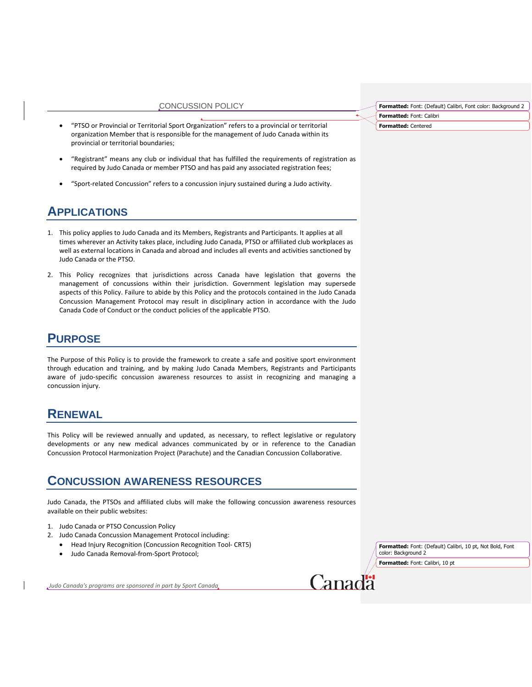- "PTSO or Provincial or Territorial Sport Organization" refers to a provincial or territorial organization Member that is responsible for the management of Judo Canada within its provincial or territorial boundaries;
- "Registrant" means any club or individual that has fulfilled the requirements of registration as required by Judo Canada or member PTSO and has paid any associated registration fees;
- "Sport-related Concussion" refers to a concussion injury sustained during a Judo activity.

## **APPLICATIONS**

- 1. This policy applies to Judo Canada and its Members, Registrants and Participants. It applies at all times wherever an Activity takes place, including Judo Canada, PTSO or affiliated club workplaces as well as external locations in Canada and abroad and includes all events and activities sanctioned by Judo Canada or the PTSO.
- 2. This Policy recognizes that jurisdictions across Canada have legislation that governs the management of concussions within their jurisdiction. Government legislation may supersede aspects of this Policy. Failure to abide by this Policy and the protocols contained in the Judo Canada Concussion Management Protocol may result in disciplinary action in accordance with the Judo Canada Code of Conduct or the conduct policies of the applicable PTSO.

## **PURPOSE**

The Purpose of this Policy is to provide the framework to create a safe and positive sport environment through education and training, and by making Judo Canada Members, Registrants and Participants aware of judo-specific concussion awareness resources to assist in recognizing and managing a concussion injury.

## **RENEWAL**

This Policy will be reviewed annually and updated, as necessary, to reflect legislative or regulatory developments or any new medical advances communicated by or in reference to the Canadian Concussion Protocol Harmonization Project (Parachute) and the Canadian Concussion Collaborative.

### **CONCUSSION AWARENESS RESOURCES**

Judo Canada, the PTSOs and affiliated clubs will make the following concussion awareness resources available on their public websites:

- 1. Judo Canada or PTSO Concussion Policy
- 2. Judo Canada Concussion Management Protocol including:
	- Head Injury Recognition (Concussion Recognition Tool- CRT5)
	- Judo Canada Removal-from-Sport Protocol;

*Judo Canada's programs are sponsored in part by Sport Canada*

**Formatted:** Font: (Default) Calibri, 10 pt, Not Bold, Font color: Background 2 **Formatted:** Font: Calibri, 10 pt

Canada

**Formatted:** Font: (Default) Calibri, Font color: Background 2 **Formatted:** Font: Calibri

**Formatted:** Centered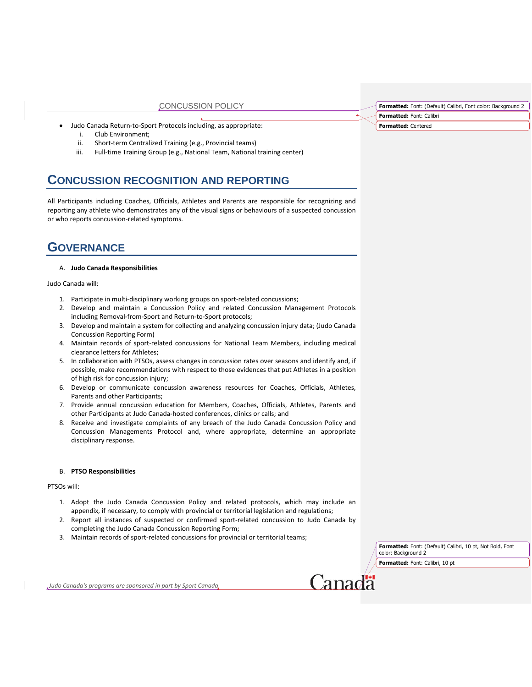- Judo Canada Return-to-Sport Protocols including, as appropriate:
	- i. Club Environment;
	- ii. Short-term Centralized Training (e.g., Provincial teams)
	- iii. Full-time Training Group (e.g., National Team, National training center)

## **CONCUSSION RECOGNITION AND REPORTING**

All Participants including Coaches, Officials, Athletes and Parents are responsible for recognizing and reporting any athlete who demonstrates any of the visual signs or behaviours of a suspected concussion or who reports concussion-related symptoms.

## **GOVERNANCE**

#### A. **Judo Canada Responsibilities**

Judo Canada will:

- 1. Participate in multi-disciplinary working groups on sport-related concussions;
- 2. Develop and maintain a Concussion Policy and related Concussion Management Protocols including Removal-from-Sport and Return-to-Sport protocols;
- 3. Develop and maintain a system for collecting and analyzing concussion injury data; (Judo Canada Concussion Reporting Form)
- 4. Maintain records of sport-related concussions for National Team Members, including medical clearance letters for Athletes;
- 5. In collaboration with PTSOs, assess changes in concussion rates over seasons and identify and, if possible, make recommendations with respect to those evidences that put Athletes in a position of high risk for concussion injury;
- 6. Develop or communicate concussion awareness resources for Coaches, Officials, Athletes, Parents and other Participants;
- 7. Provide annual concussion education for Members, Coaches, Officials, Athletes, Parents and other Participants at Judo Canada-hosted conferences, clinics or calls; and
- 8. Receive and investigate complaints of any breach of the Judo Canada Concussion Policy and Concussion Managements Protocol and, where appropriate, determine an appropriate disciplinary response.

#### B. **PTSO Responsibilities**

#### PTSOs will:

- 1. Adopt the Judo Canada Concussion Policy and related protocols, which may include an appendix, if necessary, to comply with provincial or territorial legislation and regulations;
- 2. Report all instances of suspected or confirmed sport-related concussion to Judo Canada by completing the Judo Canada Concussion Reporting Form;
- 3. Maintain records of sport-related concussions for provincial or territorial teams;

**Formatted:** Font: (Default) Calibri, 10 pt, Not Bold, Font color: Background 2

**Formatted:** Font: Calibri, 10 pt

**Lanada** 

**Formatted:** Font: (Default) Calibri, Font color: Background 2 **Formatted:** Font: Calibri

**Formatted:** Centered

*Judo Canada's programs are sponsored in part by Sport Canada*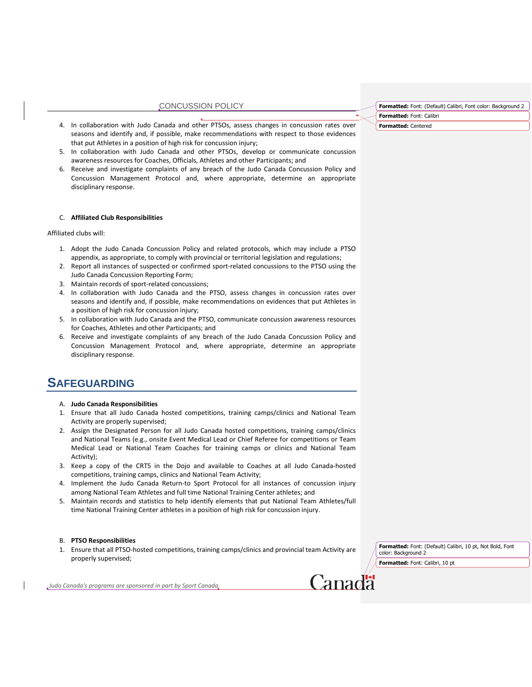- 4. In collaboration with Judo Canada and other PTSOs, assess changes in concussion rates over seasons and identify and, if possible, make recommendations with respect to those evidences that put Athletes in a position of high risk for concussion injury;
- 5. In collaboration with Judo Canada and other PTSOs, develop or communicate concussion awareness resources for Coaches, Officials, Athletes and other Participants; and
- 6. Receive and investigate complaints of any breach of the Judo Canada Concussion Policy and Concussion Management Protocol and, where appropriate, determine an appropriate disciplinary response.

#### C. **Affiliated Club Responsibilities**

Affiliated clubs will:

- 1. Adopt the Judo Canada Concussion Policy and related protocols, which may include a PTSO appendix, as appropriate, to comply with provincial or territorial legislation and regulations;
- 2. Report all instances of suspected or confirmed sport-related concussions to the PTSO using the Judo Canada Concussion Reporting Form;
- 3. Maintain records of sport-related concussions;
- 4. In collaboration with Judo Canada and the PTSO, assess changes in concussion rates over seasons and identify and, if possible, make recommendations on evidences that put Athletes in a position of high risk for concussion injury;
- 5. In collaboration with Judo Canada and the PTSO, communicate concussion awareness resources for Coaches, Athletes and other Participants; and
- 6. Receive and investigate complaints of any breach of the Judo Canada Concussion Policy and Concussion Management Protocol and, where appropriate, determine an appropriate disciplinary response.

## **SAFEGUARDING**

- A. **Judo Canada Responsibilities**
- 1. Ensure that all Judo Canada hosted competitions, training camps/clinics and National Team Activity are properly supervised;
- 2. Assign the Designated Person for all Judo Canada hosted competitions, training camps/clinics and National Teams (e.g., onsite Event Medical Lead or Chief Referee for competitions or Team Medical Lead or National Team Coaches for training camps or clinics and National Team Activity);
- 3. Keep a copy of the CRT5 in the Dojo and available to Coaches at all Judo Canada-hosted competitions, training camps, clinics and National Team Activity;
- 4. Implement the Judo Canada Return-to Sport Protocol for all instances of concussion injury among National Team Athletes and full time National Training Center athletes; and
- 5. Maintain records and statistics to help identify elements that put National Team Athletes/full time National Training Center athletes in a position of high risk for concussion injury.

#### B. **PTSO Responsibilities**

1. Ensure that all PTSO-hosted competitions, training camps/clinics and provincial team Activity are properly supervised;

**Formatted:** Font: (Default) Calibri, 10 pt, Not Bold, Font color: Background 2 **Formatted:** Font: Calibri, 10 pt

*Judo Canada's programs are sponsored in part by Sport Canada*

Canadä

**Formatted:** Font: (Default) Calibri, Font color: Background 2

**Formatted:** Font: Calibri

**Formatted:** Centered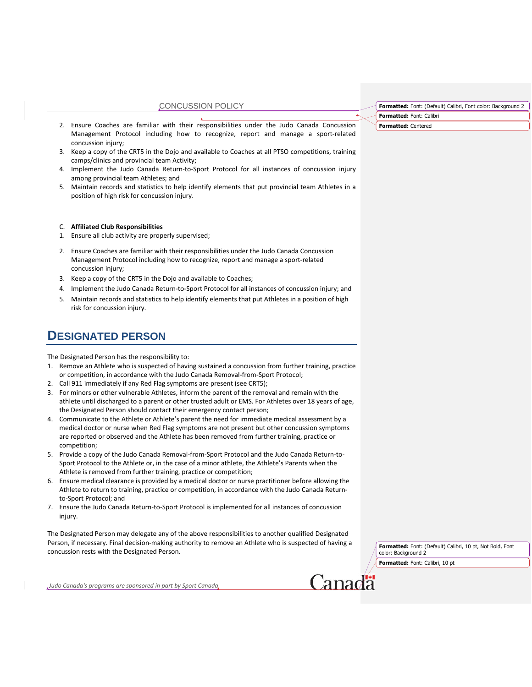- 2. Ensure Coaches are familiar with their responsibilities under the Judo Canada Concussion Management Protocol including how to recognize, report and manage a sport-related concussion injury;
- 3. Keep a copy of the CRT5 in the Dojo and available to Coaches at all PTSO competitions, training camps/clinics and provincial team Activity;
- 4. Implement the Judo Canada Return-to-Sport Protocol for all instances of concussion injury among provincial team Athletes; and
- 5. Maintain records and statistics to help identify elements that put provincial team Athletes in a position of high risk for concussion injury.
- C. **Affiliated Club Responsibilities**
- 1. Ensure all club activity are properly supervised;
- 2. Ensure Coaches are familiar with their responsibilities under the Judo Canada Concussion Management Protocol including how to recognize, report and manage a sport-related concussion injury;
- 3. Keep a copy of the CRT5 in the Dojo and available to Coaches;
- 4. Implement the Judo Canada Return-to-Sport Protocol for all instances of concussion injury; and
- 5. Maintain records and statistics to help identify elements that put Athletes in a position of high risk for concussion injury.

## **DESIGNATED PERSON**

The Designated Person has the responsibility to:

- 1. Remove an Athlete who is suspected of having sustained a concussion from further training, practice or competition, in accordance with the Judo Canada Removal-from-Sport Protocol;
- 2. Call 911 immediately if any Red Flag symptoms are present (see CRT5);
- 3. For minors or other vulnerable Athletes, inform the parent of the removal and remain with the athlete until discharged to a parent or other trusted adult or EMS. For Athletes over 18 years of age, the Designated Person should contact their emergency contact person;
- 4. Communicate to the Athlete or Athlete's parent the need for immediate medical assessment by a medical doctor or nurse when Red Flag symptoms are not present but other concussion symptoms are reported or observed and the Athlete has been removed from further training, practice or competition;
- 5. Provide a copy of the Judo Canada Removal-from-Sport Protocol and the Judo Canada Return-to-Sport Protocol to the Athlete or, in the case of a minor athlete, the Athlete's Parents when the Athlete is removed from further training, practice or competition;
- 6. Ensure medical clearance is provided by a medical doctor or nurse practitioner before allowing the Athlete to return to training, practice or competition, in accordance with the Judo Canada Returnto-Sport Protocol; and
- 7. Ensure the Judo Canada Return-to-Sport Protocol is implemented for all instances of concussion injury.

The Designated Person may delegate any of the above responsibilities to another qualified Designated Person, if necessary. Final decision-making authority to remove an Athlete who is suspected of having a concussion rests with the Designated Person.

**Formatted:** Font: (Default) Calibri, 10 pt, Not Bold, Font color: Background 2

**Formatted:** Font: Calibri, 10 pt

**Formatted:** Font: (Default) Calibri, Font color: Background 2

**Formatted:** Font: Calibri

**Formatted:** Centered

*Judo Canada's programs are sponsored in part by Sport Canada*

Canadä